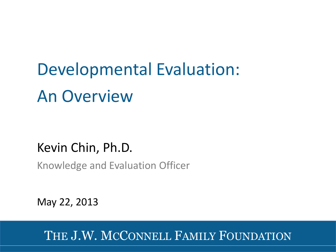Developmental Evaluation: An Overview

## Kevin Chin, Ph.D.

Knowledge and Evaluation Officer

May 22, 2013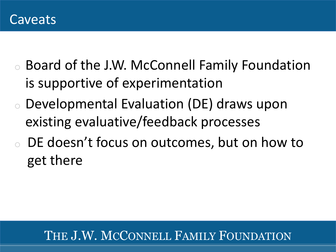- o Board of the J.W. McConnell Family Foundation is supportive of experimentation
- o Developmental Evaluation (DE) draws upon existing evaluative/feedback processes
- DE doesn't focus on outcomes, but on how to get there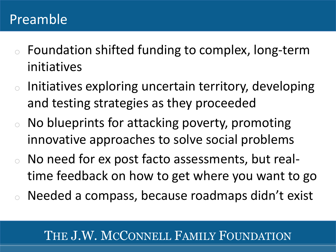## Preamble

- initiatives <sup>o</sup> Foundation shifted funding to complex, long-term
- o Initiatives exploring uncertain territory, developing and testing strategies as they proceeded
- <sup>o</sup> No blueprints for attacking poverty, promoting innovative approaches to solve social problems
- <sup>o</sup> No need for ex post facto assessments, but realtime feedback on how to get where you want to go
- Needed a compass, because roadmaps didn't exist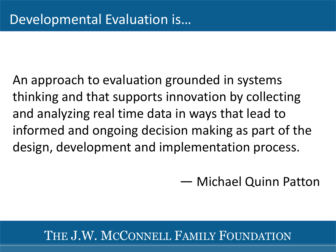An approach to evaluation grounded in systems thinking and that supports innovation by collecting and analyzing real time data in ways that lead to informed and ongoing decision making as part of the design, development and implementation process.

— Michael Quinn Patton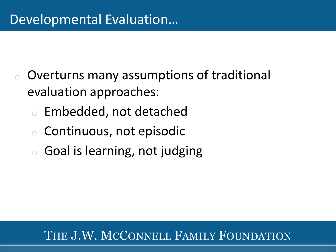- <sup>o</sup> Overturns many assumptions of traditional evaluation approaches:
	- <sup>o</sup> Embedded, not detached
	- o Continuous, not episodic
	- <sup>o</sup> Goal is learning, not judging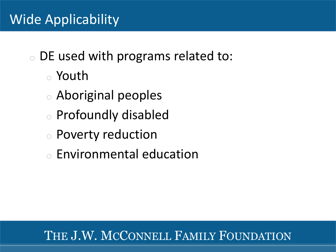<sup>o</sup> DE used with programs related to:

- <sup>o</sup> Youth
- <sup>o</sup> Aboriginal peoples
- <sup>o</sup> Profoundly disabled
- o Poverty reduction
- <sup>o</sup> Environmental education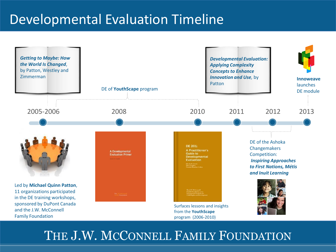# Developmental Evaluation Timeline

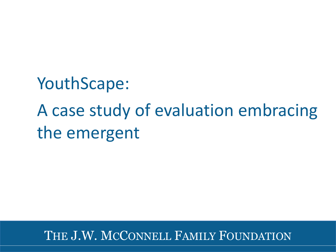YouthScape: A case study of evaluation embracing the emergent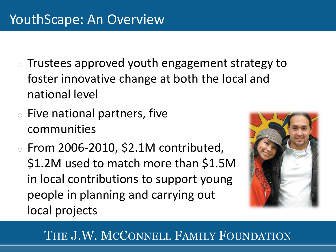- $\circ$  Trustees approved youth engagement strategy to foster innovative change at both the local and national level
- <sup>o</sup> Five national partners, five communities
- $\circ$  From 2006-2010, \$2.1M contributed, \$1.2M used to match more than \$1.5M in local contributions to support young people in planning and carrying out local projects

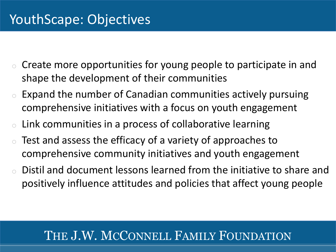- $\circ$  Create more opportunities for young people to participate in and shape the development of their communities
- $\circ$  Expand the number of Canadian communities actively pursuing comprehensive initiatives with a focus on youth engagement
- $\circ$  Link communities in a process of collaborative learning
- Test and assess the efficacy of a variety of approaches to comprehensive community initiatives and youth engagement
- Distil and document lessons learned from the initiative to share and positively influence attitudes and policies that affect young people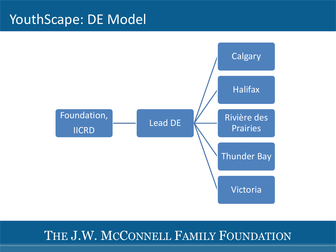## YouthScape: DE Model

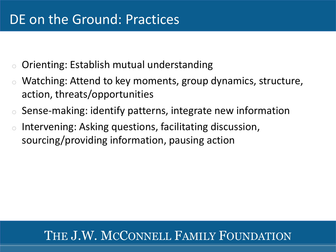- $\circ$  Orienting: Establish mutual understanding
- Watching: Attend to key moments, group dynamics, structure, action, threats/opportunities
- o Sense-making: identify patterns, integrate new information
- o Intervening: Asking questions, facilitating discussion, sourcing/providing information, pausing action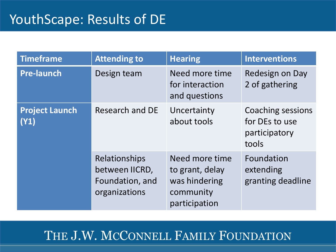| <b>Timeframe</b>              | <b>Attending to</b>                                                 | <b>Hearing</b>                                                                   | <b>Interventions</b>                                                 |
|-------------------------------|---------------------------------------------------------------------|----------------------------------------------------------------------------------|----------------------------------------------------------------------|
| <b>Pre-launch</b>             | Design team                                                         | Need more time<br>for interaction<br>and questions                               | Redesign on Day<br>2 of gathering                                    |
| <b>Project Launch</b><br>(Y1) | <b>Research and DE</b>                                              | Uncertainty<br>about tools                                                       | <b>Coaching sessions</b><br>for DEs to use<br>participatory<br>tools |
|                               | Relationships<br>between IICRD,<br>Foundation, and<br>organizations | Need more time<br>to grant, delay<br>was hindering<br>community<br>participation | Foundation<br>extending<br>granting deadline                         |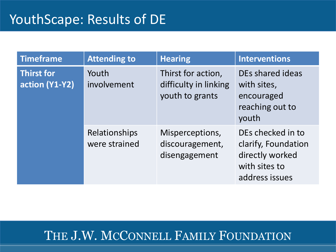| <b>Timeframe</b>             | <b>Attending to</b>                   | <b>Hearing</b>                                                 | <b>Interventions</b>                                                                           |
|------------------------------|---------------------------------------|----------------------------------------------------------------|------------------------------------------------------------------------------------------------|
| Thirst for<br>action (Y1-Y2) | Youth<br>involvement                  | Thirst for action,<br>difficulty in linking<br>youth to grants | DEs shared ideas<br>with sites,<br>encouraged<br>reaching out to<br>youth                      |
|                              | <b>Relationships</b><br>were strained | Misperceptions,<br>discouragement,<br>disengagement            | DEs checked in to<br>clarify, Foundation<br>directly worked<br>with sites to<br>address issues |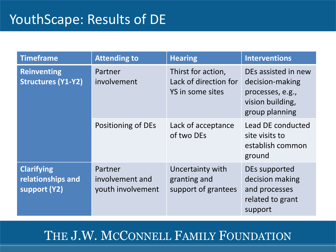| <b>Timeframe</b>                                       | <b>Attending to</b>                             | <b>Hearing</b>                                                  | <b>Interventions</b>                                                                             |
|--------------------------------------------------------|-------------------------------------------------|-----------------------------------------------------------------|--------------------------------------------------------------------------------------------------|
| <b>Reinventing</b><br><b>Structures (Y1-Y2)</b>        | Partner<br>involvement                          | Thirst for action,<br>Lack of direction for<br>YS in some sites | DEs assisted in new<br>decision-making<br>processes, e.g.,<br>vision building,<br>group planning |
|                                                        | Positioning of DEs                              | Lack of acceptance<br>of two DEs                                | Lead DE conducted<br>site visits to<br>establish common<br>ground                                |
| <b>Clarifying</b><br>relationships and<br>support (Y2) | Partner<br>involvement and<br>youth involvement | Uncertainty with<br>granting and<br>support of grantees         | DEs supported<br>decision making<br>and processes<br>related to grant<br>support                 |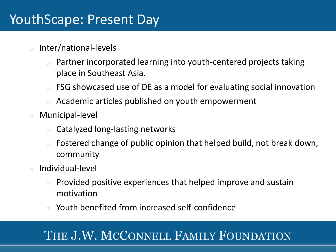# YouthScape: Present Day

- o Inter/national-levels
	- Partner incorporated learning into youth-centered projects taking place in Southeast Asia.
	- FSG showcased use of DE as a model for evaluating social innovation
	- o Academic articles published on youth empowerment
- o Municipal-level
	- Catalyzed long-lasting networks
	- $\circ$  Fostered change of public opinion that helped build, not break down, community
- o Individual-level
	- Provided positive experiences that helped improve and sustain motivation
	- Youth benefited from increased self-confidence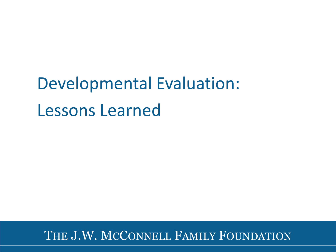Developmental Evaluation: Lessons Learned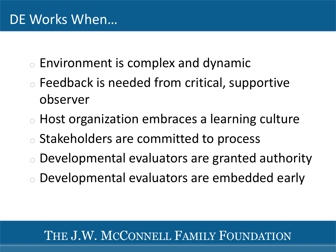- $\circ$  Environment is complex and dynamic
- o Feedback is needed from critical, supportive observer
- o Host organization embraces a learning culture Stakeholders are committed to process
- Developmental evaluators are granted authority
- Developmental evaluators are embedded early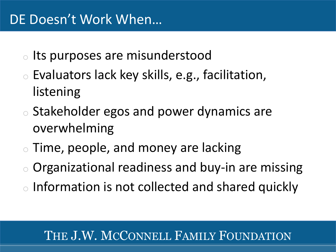# DE Doesn't Work When…

- <sup>o</sup> Its purposes are misunderstood
- o Evaluators lack key skills, e.g., facilitation, listening
- o Stakeholder egos and power dynamics are overwhelming
- o Time, people, and money are lacking
- o Organizational readiness and buy-in are missing
- o Information is not collected and shared quickly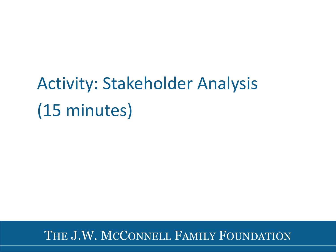# Activity: Stakeholder Analysis (15 minutes)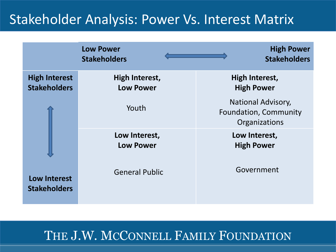# Stakeholder Analysis: Power Vs. Interest Matrix

|                                             | <b>Low Power</b><br><b>Stakeholders</b>   | <b>High Power</b><br><b>Stakeholders</b>                            |
|---------------------------------------------|-------------------------------------------|---------------------------------------------------------------------|
| <b>High Interest</b><br><b>Stakeholders</b> | <b>High Interest,</b><br><b>Low Power</b> | <b>High Interest,</b><br><b>High Power</b>                          |
|                                             | Youth                                     | <b>National Advisory,</b><br>Foundation, Community<br>Organizations |
|                                             | Low Interest,<br><b>Low Power</b>         | Low Interest,<br><b>High Power</b>                                  |
| <b>Low Interest</b><br><b>Stakeholders</b>  | <b>General Public</b>                     | Government                                                          |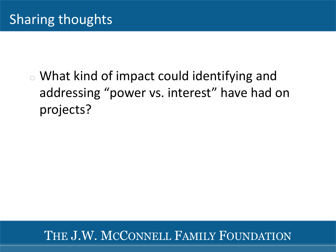$\circ$  What kind of impact could identifying and addressing "power vs. interest" have had on projects?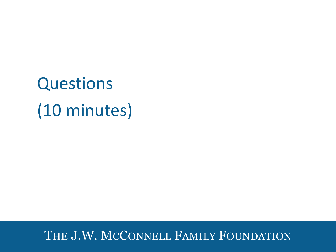**Questions** (10 minutes)